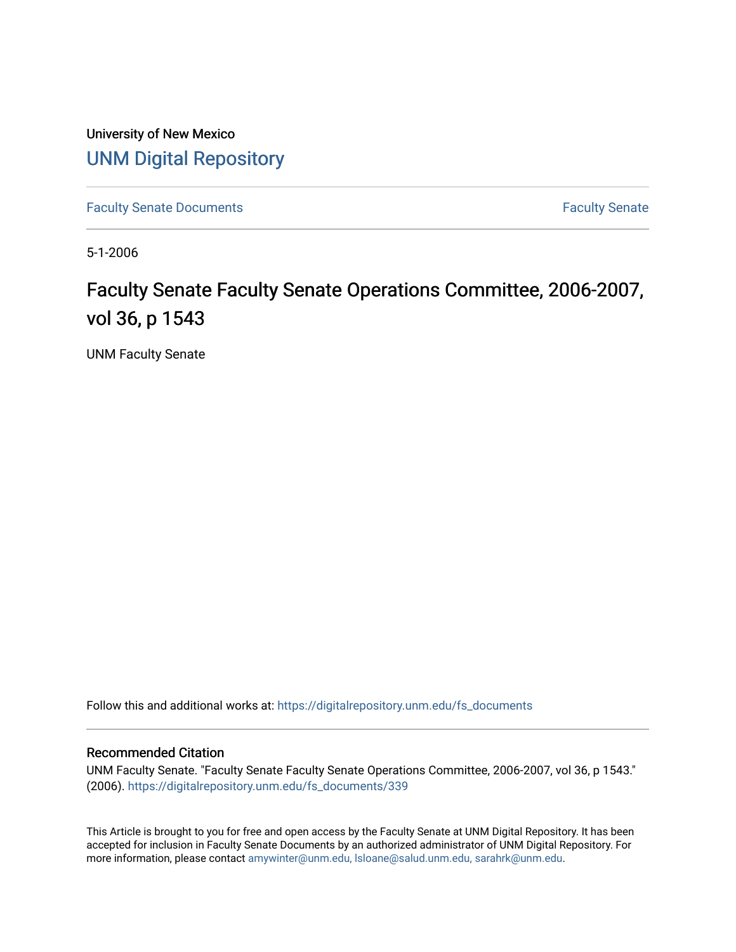University of New Mexico [UNM Digital Repository](https://digitalrepository.unm.edu/) 

[Faculty Senate Documents](https://digitalrepository.unm.edu/fs_documents) **Faculty** Senate **Faculty** Senate

5-1-2006

## Faculty Senate Faculty Senate Operations Committee, 2006-2007, vol 36, p 1543

UNM Faculty Senate

Follow this and additional works at: [https://digitalrepository.unm.edu/fs\\_documents](https://digitalrepository.unm.edu/fs_documents?utm_source=digitalrepository.unm.edu%2Ffs_documents%2F339&utm_medium=PDF&utm_campaign=PDFCoverPages)

## Recommended Citation

UNM Faculty Senate. "Faculty Senate Faculty Senate Operations Committee, 2006-2007, vol 36, p 1543." (2006). [https://digitalrepository.unm.edu/fs\\_documents/339](https://digitalrepository.unm.edu/fs_documents/339?utm_source=digitalrepository.unm.edu%2Ffs_documents%2F339&utm_medium=PDF&utm_campaign=PDFCoverPages) 

This Article is brought to you for free and open access by the Faculty Senate at UNM Digital Repository. It has been accepted for inclusion in Faculty Senate Documents by an authorized administrator of UNM Digital Repository. For more information, please contact [amywinter@unm.edu, lsloane@salud.unm.edu, sarahrk@unm.edu](mailto:amywinter@unm.edu,%20lsloane@salud.unm.edu,%20sarahrk@unm.edu).